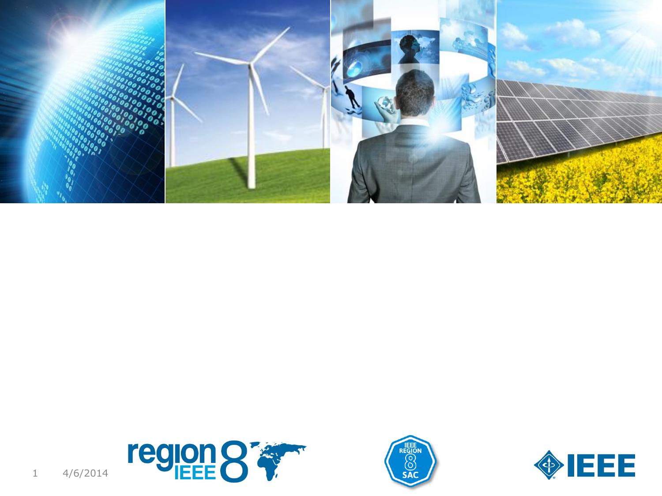





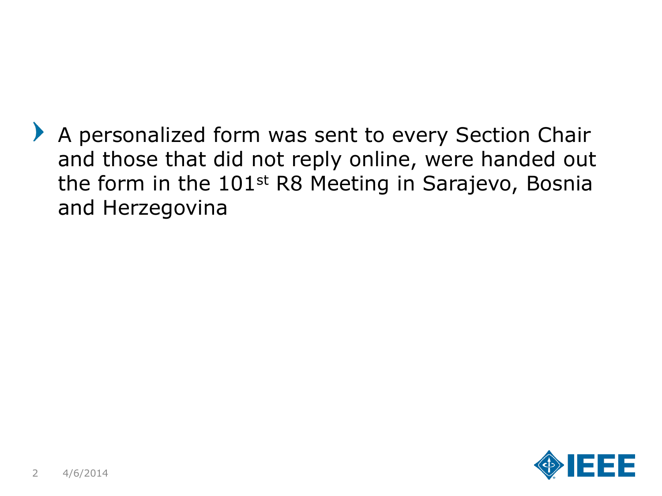A personalized form was sent to every Section Chair and those that did not reply online, were handed out the form in the 101<sup>st</sup> R8 Meeting in Sarajevo, Bosnia and Herzegovina

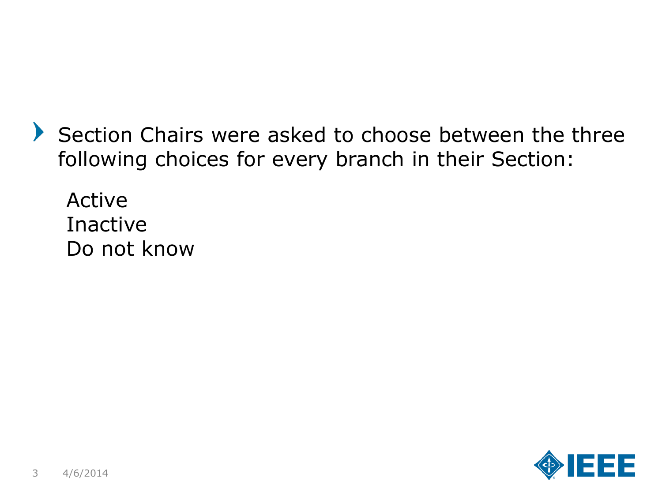Section Chairs were asked to choose between the three following choices for every branch in their Section:

Active Inactive Do not know

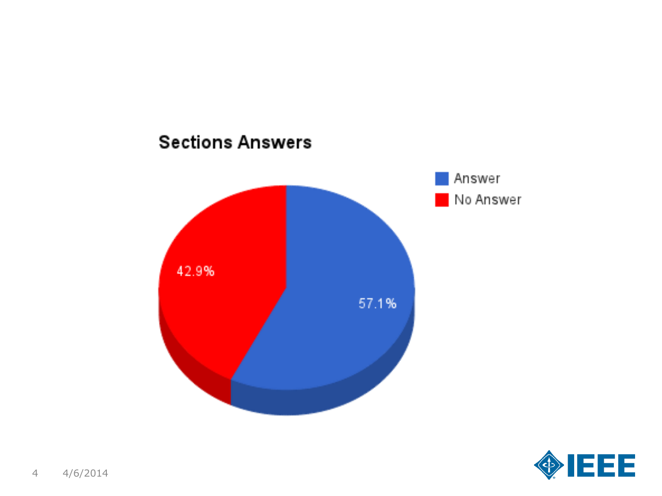

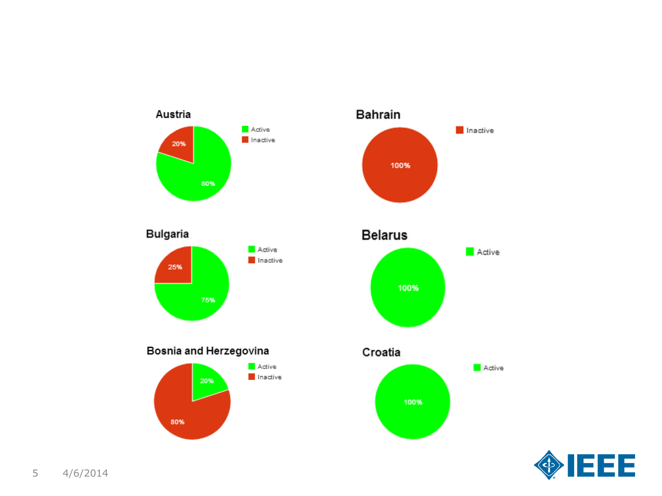

## Active

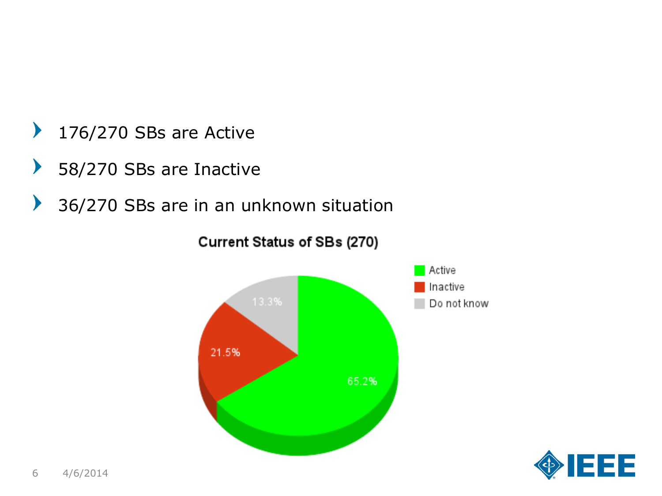- $\blacktriangleright$ 176/270 SBs are Active
- $\blacktriangleright$ 58/270 SBs are Inactive
- $\blacktriangleright$ 36/270 SBs are in an unknown situation



## Current Status of SBs (270)

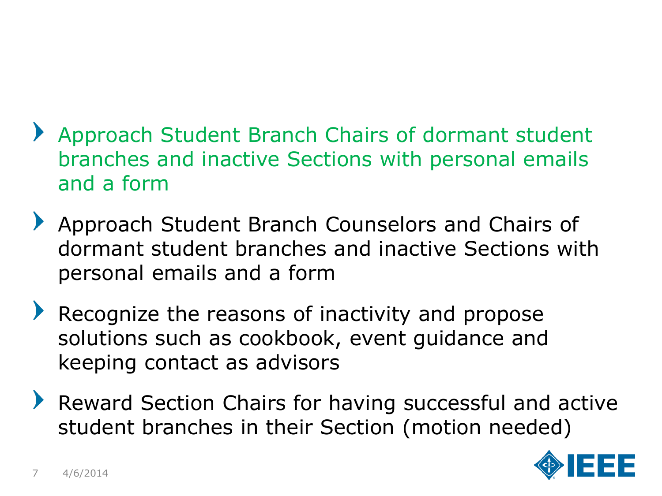## Approach Student Branch Chairs of dormant student branches and inactive Sections with personal emails and a form

- Approach Student Branch Counselors and Chairs of dormant student branches and inactive Sections with personal emails and a form
- Recognize the reasons of inactivity and propose solutions such as cookbook, event guidance and keeping contact as advisors
- Reward Section Chairs for having successful and active student branches in their Section (motion needed)

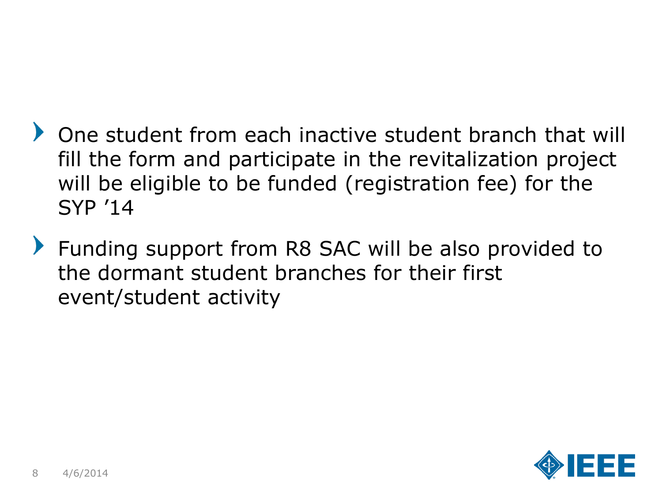- One student from each inactive student branch that will fill the form and participate in the revitalization project will be eligible to be funded (registration fee) for the SYP '14
- Funding support from R8 SAC will be also provided to the dormant student branches for their first event/student activity